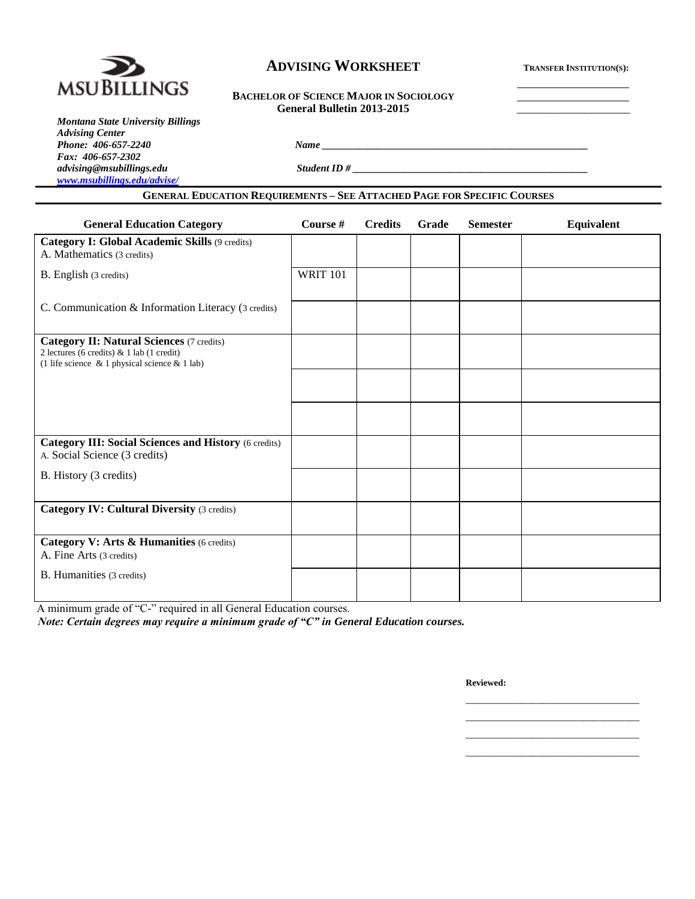

# $\bf ADVISING WORKSHEET$  **TRANSFER INSTITUTION(S):**

## **BACHELOR OF SCIENCE MAJOR IN SOCIOLOGY General Bulletin 2013-2015** \_\_\_\_\_\_\_\_\_\_\_\_\_\_\_\_\_\_\_\_

| <b>Montana State University Billings</b> |
|------------------------------------------|
| <b>Advising Center</b>                   |
| Phone: 406-657-2240                      |
| Fax: 406-657-2302                        |
| advising@msubillings.edu                 |
| www.msubillings.edu/advise/              |

*advising@msubillings.edu Student ID # \_\_\_\_\_\_\_\_\_\_\_\_\_\_\_\_\_\_\_\_\_\_\_\_\_\_\_\_\_\_\_\_\_\_\_\_\_\_\_\_\_\_\_\_\_\_*

# **GENERAL EDUCATION REQUIREMENTS – SEE ATTACHED PAGE FOR SPECIFIC COURSES**

*Phone: 406-657-2240 Name \_\_\_\_\_\_\_\_\_\_\_\_\_\_\_\_\_\_\_\_\_\_\_\_\_\_\_\_\_\_\_\_\_\_\_\_\_\_\_\_\_\_\_\_\_\_\_\_\_\_\_\_*

| <b>General Education Category</b>                                                                                                                    | Course #        | <b>Credits</b> | Grade | <b>Semester</b> | Equivalent |
|------------------------------------------------------------------------------------------------------------------------------------------------------|-----------------|----------------|-------|-----------------|------------|
| Category I: Global Academic Skills (9 credits)<br>A. Mathematics (3 credits)                                                                         |                 |                |       |                 |            |
| B. English (3 credits)                                                                                                                               | <b>WRIT 101</b> |                |       |                 |            |
| C. Communication & Information Literacy (3 credits)                                                                                                  |                 |                |       |                 |            |
| <b>Category II: Natural Sciences (7 credits)</b><br>2 lectures (6 credits) & 1 lab (1 credit)<br>(1 life science $\&$ 1 physical science $\&$ 1 lab) |                 |                |       |                 |            |
|                                                                                                                                                      |                 |                |       |                 |            |
|                                                                                                                                                      |                 |                |       |                 |            |
| <b>Category III: Social Sciences and History (6 credits)</b><br>A. Social Science (3 credits)                                                        |                 |                |       |                 |            |
| B. History (3 credits)                                                                                                                               |                 |                |       |                 |            |
| <b>Category IV: Cultural Diversity (3 credits)</b>                                                                                                   |                 |                |       |                 |            |
| Category V: Arts & Humanities (6 credits)<br>A. Fine Arts (3 credits)                                                                                |                 |                |       |                 |            |
| <b>B.</b> Humanities (3 credits)                                                                                                                     |                 |                |       |                 |            |

A minimum grade of "C-" required in all General Education courses.

*Note: Certain degrees may require a minimum grade of "C" in General Education courses.*

**Reviewed:**

\_\_\_\_\_\_\_\_\_\_\_\_\_\_\_\_\_\_\_\_\_\_\_\_\_\_\_\_\_\_\_\_\_\_ \_\_\_\_\_\_\_\_\_\_\_\_\_\_\_\_\_\_\_\_\_\_\_\_\_\_\_\_\_\_\_\_\_\_ \_\_\_\_\_\_\_\_\_\_\_\_\_\_\_\_\_\_\_\_\_\_\_\_\_\_\_\_\_\_\_\_\_\_ \_\_\_\_\_\_\_\_\_\_\_\_\_\_\_\_\_\_\_\_\_\_\_\_\_\_\_\_\_\_\_\_\_\_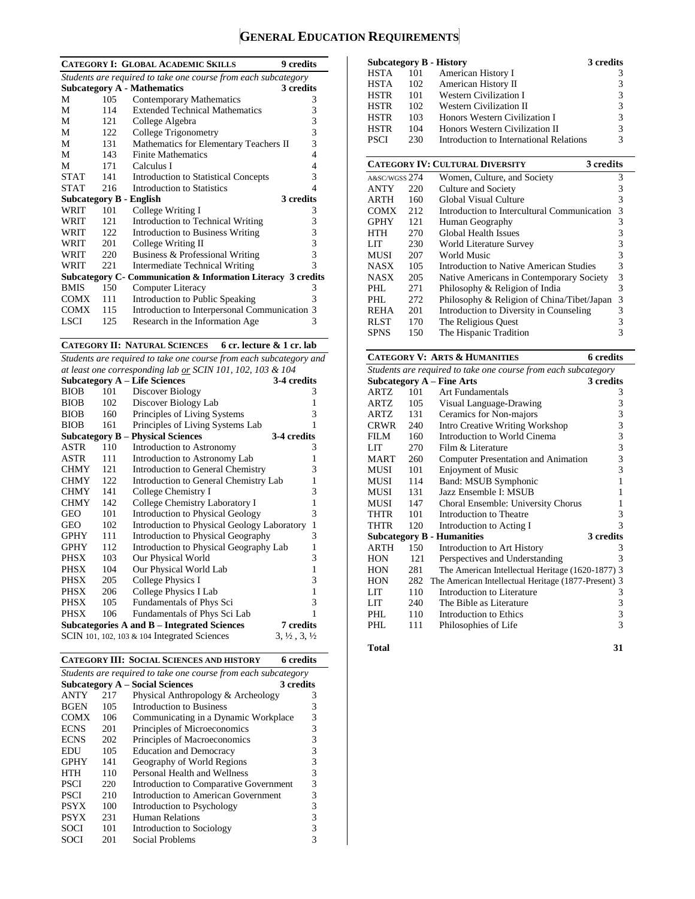# **GENERAL EDUCATION REQUIREMENTS**

| <b>CATEGORY I: GLOBAL ACADEMIC SKILLS</b><br>9 credits         |      |                                                                |   |  |  |  |
|----------------------------------------------------------------|------|----------------------------------------------------------------|---|--|--|--|
| Students are required to take one course from each subcategory |      |                                                                |   |  |  |  |
|                                                                |      | <b>Subcategory A - Mathematics</b><br>3 credits                |   |  |  |  |
| М                                                              | 105  | <b>Contemporary Mathematics</b>                                | 3 |  |  |  |
| М                                                              | 114  | <b>Extended Technical Mathematics</b>                          | 3 |  |  |  |
| М                                                              | 121  | College Algebra                                                | 3 |  |  |  |
| М                                                              | 122  | College Trigonometry                                           | 3 |  |  |  |
| М                                                              | 131  | Mathematics for Elementary Teachers II                         | 3 |  |  |  |
| М                                                              | 143  | <b>Finite Mathematics</b>                                      | 4 |  |  |  |
| М                                                              | 171  | Calculus I                                                     | 4 |  |  |  |
| <b>STAT</b>                                                    | 141  | <b>Introduction to Statistical Concepts</b>                    | 3 |  |  |  |
| <b>STAT</b>                                                    | 216  | Introduction to Statistics                                     | 4 |  |  |  |
| <b>Subcategory B - English</b>                                 |      | 3 credits                                                      |   |  |  |  |
| WRIT                                                           | 101  | College Writing I                                              | 3 |  |  |  |
| WRIT                                                           | 121  | Introduction to Technical Writing                              | 3 |  |  |  |
| WRIT                                                           | 122. | Introduction to Business Writing                               | 3 |  |  |  |
| WRIT                                                           | 201  | College Writing II                                             | 3 |  |  |  |
| WRIT                                                           | 220  | Business & Professional Writing                                | 3 |  |  |  |
| WRIT                                                           | 221  | Intermediate Technical Writing                                 | 3 |  |  |  |
|                                                                |      | Subcategory C - Communication & Information Literacy 3 credits |   |  |  |  |
| <b>BMIS</b>                                                    | 150  | Computer Literacy                                              | 3 |  |  |  |
| COMX                                                           | 111  | Introduction to Public Speaking                                | 3 |  |  |  |
| <b>COMX</b>                                                    | 115  | Introduction to Interpersonal Communication 3                  |   |  |  |  |
| LSCI                                                           | 125  | Research in the Information Age                                | 3 |  |  |  |

**CATEGORY II: NATURAL SCIENCES 6 cr. lecture & 1 cr. lab**

*Students are required to take one course from each subcategory and at least one corresponding lab or SCIN 101, 102, 103 & 104*

| at least one corresponaing lab or SCIN 101, 102, 103 & 104 |     |                                                    |                                  |  |  |
|------------------------------------------------------------|-----|----------------------------------------------------|----------------------------------|--|--|
|                                                            |     | <b>Subcategory A – Life Sciences</b>               | 3-4 credits                      |  |  |
| <b>BIOB</b>                                                | 101 | Discover Biology                                   | 3                                |  |  |
| <b>BIOB</b>                                                | 102 | Discover Biology Lab                               | 1                                |  |  |
| <b>BIOB</b>                                                | 160 | Principles of Living Systems                       | 3                                |  |  |
| <b>BIOB</b>                                                | 161 | Principles of Living Systems Lab                   | 1                                |  |  |
|                                                            |     | <b>Subcategory B – Physical Sciences</b>           | 3-4 credits                      |  |  |
| ASTR                                                       | 110 | Introduction to Astronomy                          | 3                                |  |  |
| ASTR                                                       | 111 | Introduction to Astronomy Lab                      | 1                                |  |  |
| <b>CHMY</b>                                                | 121 | Introduction to General Chemistry                  | 3                                |  |  |
| <b>CHMY</b>                                                | 122 | Introduction to General Chemistry Lab              | 1                                |  |  |
| <b>CHMY</b>                                                | 141 | College Chemistry I                                | 3                                |  |  |
| <b>CHMY</b>                                                | 142 | College Chemistry Laboratory I                     | 1                                |  |  |
| <b>GEO</b>                                                 | 101 | <b>Introduction to Physical Geology</b>            | 3                                |  |  |
| <b>GEO</b>                                                 | 102 | Introduction to Physical Geology Laboratory        | $\mathbf{1}$                     |  |  |
| <b>GPHY</b>                                                | 111 | Introduction to Physical Geography                 | 3                                |  |  |
| <b>GPHY</b>                                                | 112 | Introduction to Physical Geography Lab             | 1                                |  |  |
| PHSX                                                       | 103 | Our Physical World                                 | 3                                |  |  |
| PHSX                                                       | 104 | Our Physical World Lab                             | $\mathbf{1}$                     |  |  |
| PHSX                                                       | 205 | <b>College Physics I</b>                           | 3                                |  |  |
| PHSX                                                       | 206 | College Physics I Lab                              | $\mathbf{1}$                     |  |  |
| PHSX                                                       | 105 | Fundamentals of Phys Sci                           | 3                                |  |  |
| <b>PHSX</b>                                                | 106 | Fundamentals of Phys Sci Lab                       | 1                                |  |  |
|                                                            |     | <b>Subcategories A and B - Integrated Sciences</b> | 7 credits                        |  |  |
|                                                            |     | SCIN 101, 102, 103 $\&$ 104 Integrated Sciences    | $3, \frac{1}{2}, 3, \frac{1}{2}$ |  |  |

|  | <b>CATEGORY III: SOCIAL SCIENCES AND HISTORY</b> | 6 credits |
|--|--------------------------------------------------|-----------|
|--|--------------------------------------------------|-----------|

| Students are required to take one course from each subcategory |     |                                        |           |  |  |
|----------------------------------------------------------------|-----|----------------------------------------|-----------|--|--|
|                                                                |     | <b>Subcategory A – Social Sciences</b> | 3 credits |  |  |
| <b>ANTY</b>                                                    | 217 | Physical Anthropology & Archeology     | 3         |  |  |
| <b>BGEN</b>                                                    | 105 | Introduction to Business               | 3         |  |  |
| <b>COMX</b>                                                    | 106 | Communicating in a Dynamic Workplace   | 3         |  |  |
| <b>ECNS</b>                                                    | 201 | Principles of Microeconomics           | 3         |  |  |
| <b>ECNS</b>                                                    | 202 | Principles of Macroeconomics           | 3         |  |  |
| EDU                                                            | 105 | <b>Education and Democracy</b>         | 3         |  |  |
| <b>GPHY</b>                                                    | 141 | Geography of World Regions             | 3         |  |  |
| HTH                                                            | 110 | Personal Health and Wellness           | 3         |  |  |
| <b>PSCI</b>                                                    | 220 | Introduction to Comparative Government | 3         |  |  |
| <b>PSCI</b>                                                    | 210 | Introduction to American Government    | 3         |  |  |
| <b>PSYX</b>                                                    | 100 | Introduction to Psychology             | 3         |  |  |
| <b>PSYX</b>                                                    | 231 | Human Relations                        | 3         |  |  |
| <b>SOCI</b>                                                    | 101 | Introduction to Sociology              |           |  |  |
| SOCI                                                           | 201 | Social Problems                        |           |  |  |

|             |     | <b>Subcategory B - History</b>          | 3 credits |
|-------------|-----|-----------------------------------------|-----------|
| HSTA        | 101 | American History I                      | 3         |
| HSTA        | 102 | American History II                     | 3         |
| <b>HSTR</b> | 101 | <b>Western Civilization I</b>           | 3         |
| <b>HSTR</b> | 102 | <b>Western Civilization II</b>          | 3         |
| <b>HSTR</b> | 103 | Honors Western Civilization I           | 3         |
| <b>HSTR</b> | 104 | Honors Western Civilization II          | 3         |
| PSCI        | 230 | Introduction to International Relations | 3         |

|               |      | <b>CATEGORY IV: CULTURAL DIVERSITY</b><br>3 credits |   |
|---------------|------|-----------------------------------------------------|---|
| A&SC/WGSS 274 |      | Women, Culture, and Society                         | 3 |
| <b>ANTY</b>   | 220  | Culture and Society                                 | 3 |
| <b>ARTH</b>   | 160  | Global Visual Culture                               | 3 |
| <b>COMX</b>   | 212  | Introduction to Intercultural Communication         | 3 |
| <b>GPHY</b>   | 121  | Human Geography                                     | 3 |
| <b>HTH</b>    | 270  | Global Health Issues                                | 3 |
| LIT           | 230  | World Literature Survey                             | 3 |
| <b>MUSI</b>   | 207  | World Music                                         | 3 |
| <b>NASX</b>   | 105  | Introduction to Native American Studies             | 3 |
| <b>NASX</b>   | 205  | Native Americans in Contemporary Society            | 3 |
| PHL           | 271  | Philosophy & Religion of India                      | 3 |
| PHI.          | 2.72 | Philosophy & Religion of China/Tibet/Japan          | 3 |
| <b>REHA</b>   | 201  | Introduction to Diversity in Counseling             | 3 |
| <b>RLST</b>   | 170  | The Religious Quest                                 |   |
| <b>SPNS</b>   | 150  | The Hispanic Tradition                              | 3 |

#### **CATEGORY V: ARTS & HUMANITIES 6 credits** *Students are required to take one course from each subcategory* **Subcategory A – Fine Arts 3 credits** ARTZ 101 Art Fundamentals 3 ARTZ 105 Visual Language-Drawing 3 ARTZ 131 Ceramics for Non-majors 3 CRWR 240 Intro Creative Writing Workshop 3 FILM 160 Introduction to World Cinema 3 LIT 270 Film & Literature 3<br>MART 260 Computer Presentation and Animation 3 MART 260 Computer Presentation and Animation MUSI 101 Enjoyment of Music 3 MUSI 114 Band: MSUB Symphonic 1<br>MUSI 131 Jazz Ensemble I: MSUB 1 Jazz Ensemble I: MSUB 1 MUSI 147 Choral Ensemble: University Chorus 1 THTR 101 Introduction to Theatre 3<br>THTR 120 Introduction to Acting I 3 Introduction to Acting I 3<br> **Humanities** 3 credits **Subcategory B - Humanities 3 credits** ARTH 150 Introduction to Art History 3<br>
HON 121 Perspectives and Understanding 3 HON 121 Perspectives and Understanding 3<br>HON 281 The American Intellectual Heritage (1620-1877) 3 The American Intellectual Heritage (1620-1877) 3 HON 282 The American Intellectual Heritage (1877-Present) 3 LIT 110 Introduction to Literature 3<br>1.1 240 The Bible as Literature 3 LIT  $240$  The Bible as Literature PHL 110 Introduction to Ethics 3<br>PHL 111 Philosophies of Life 3 111 Philosophies of Life 3 **Total 31**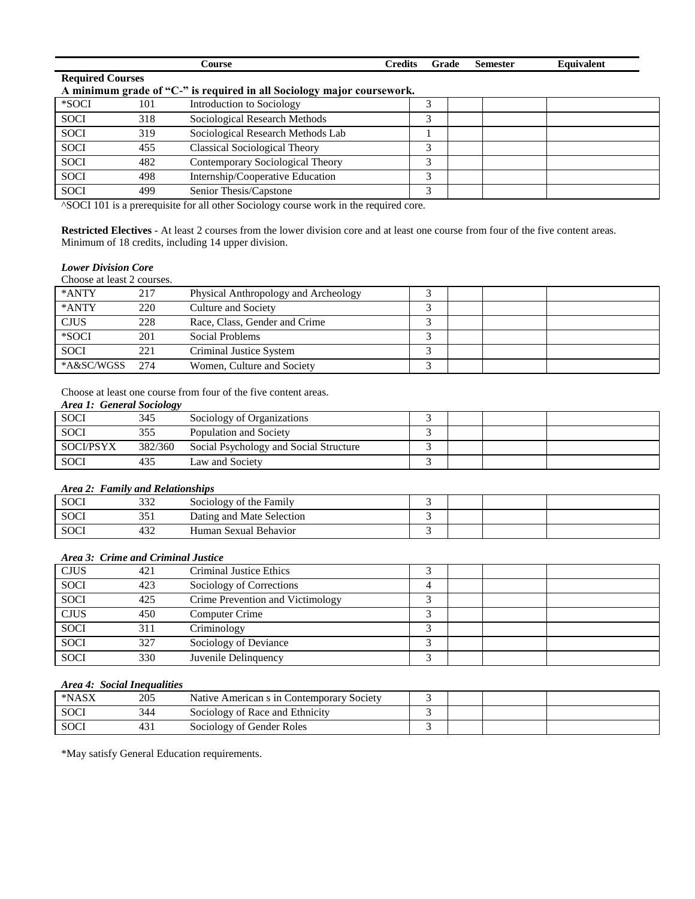|                         |     | Course                                                                 | <b>Credits</b> | Grade | <b>Semester</b> | <b>Equivalent</b> |
|-------------------------|-----|------------------------------------------------------------------------|----------------|-------|-----------------|-------------------|
| <b>Required Courses</b> |     |                                                                        |                |       |                 |                   |
|                         |     | A minimum grade of "C-" is required in all Sociology major coursework. |                |       |                 |                   |
| *SOCI                   | 101 | Introduction to Sociology                                              |                |       |                 |                   |
| <b>SOCI</b>             | 318 | Sociological Research Methods                                          |                | 3     |                 |                   |
| <b>SOCI</b>             | 319 | Sociological Research Methods Lab                                      |                |       |                 |                   |
| <b>SOCI</b>             | 455 | <b>Classical Sociological Theory</b>                                   |                | 3     |                 |                   |
| <b>SOCI</b>             | 482 | Contemporary Sociological Theory                                       |                | 3     |                 |                   |
| <b>SOCI</b>             | 498 | Internship/Cooperative Education                                       |                | 3     |                 |                   |
| <b>SOCI</b>             | 499 | Senior Thesis/Capstone                                                 |                | 3     |                 |                   |

^SOCI 101 is a prerequisite for all other Sociology course work in the required core.

**Restricted Electives** - At least 2 courses from the lower division core and at least one course from four of the five content areas. Minimum of 18 credits, including 14 upper division.

### *Lower Division Core*

Choose at least 2 courses.

| *ANTY       | 217  | Physical Anthropology and Archeology |  |  |
|-------------|------|--------------------------------------|--|--|
| *ANTY       | 220  | Culture and Society                  |  |  |
| <b>CJUS</b> | 228  | Race, Class, Gender and Crime        |  |  |
| *SOCI       | 201  | Social Problems                      |  |  |
| <b>SOCI</b> | 221  | Criminal Justice System              |  |  |
| *A&SC/WGSS  | 2.74 | Women, Culture and Society           |  |  |

Choose at least one course from four of the five content areas.

### *Area 1: General Sociology*

| <b>SOCI</b>      | 345     | Sociology of Organizations             |  |  |
|------------------|---------|----------------------------------------|--|--|
| <b>SOCI</b>      | 355     | Population and Society                 |  |  |
| <b>SOCI/PSYX</b> | 382/360 | Social Psychology and Social Structure |  |  |
| <b>SOCI</b>      | 435     | Law and Society                        |  |  |

#### *Area 2: Family and Relationships*

| <b>SOCI</b> | $\sim$<br>552 | Sociology of the Family   |  |  |
|-------------|---------------|---------------------------|--|--|
| <b>SOCI</b> | 351           | Dating and Mate Selection |  |  |
| <b>SOCI</b> | $43\angle$    | Human Sexual Behavior     |  |  |

# *Area 3: Crime and Criminal Justice*

| <b>CJUS</b> | 421 | Criminal Justice Ethics          |   |  |  |
|-------------|-----|----------------------------------|---|--|--|
| <b>SOCI</b> | 423 | Sociology of Corrections         |   |  |  |
| <b>SOCI</b> | 425 | Crime Prevention and Victimology |   |  |  |
| <b>CJUS</b> | 450 | <b>Computer Crime</b>            | ╭ |  |  |
| <b>SOCI</b> | 311 | Criminology                      | ↗ |  |  |
| <b>SOCI</b> | 327 | Sociology of Deviance            | ╭ |  |  |
| <b>SOCI</b> | 330 | Juvenile Delinquency             |   |  |  |

#### *Area 4: Social Inequalities*

| *NASX       | 205 | Native American s in Contemporary Society |  |  |
|-------------|-----|-------------------------------------------|--|--|
| <b>SOCI</b> | 344 | Sociology of Race and Ethnicity           |  |  |
| <b>SOCI</b> | 451 | Sociology of Gender Roles                 |  |  |

\*May satisfy General Education requirements.